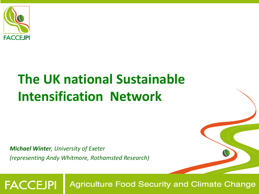

**FACCEJPI** 

### **The UK national Sustainable Intensification Network**

*Michael Winter, University of Exeter (representing Andy Whitmore, Rothamsted Research)*

**Agriculture Food Security and Climate Change**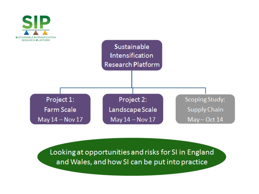

Looking at opportunities and risks for SI in England and Wales, and how SI can be put into practice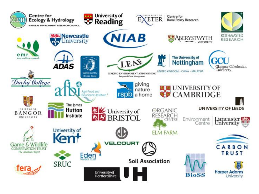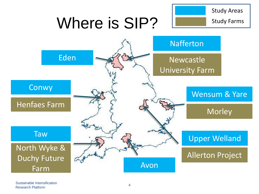# Where is SIP?

Study Areas

Study Farms

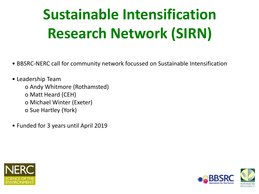# **Sustainable Intensification Research Network (SIRN)**

- BBSRC-NERC call for community network focussed on Sustainable Intensification
- Leadership Team o Andy Whitmore (Rothamsted) o Matt Heard (CEH) o Michael Winter (Exeter) o Sue Hartley (York)
- Funded for 3 years until April 2019



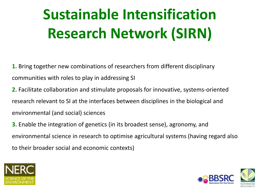# **Sustainable Intensification Research Network (SIRN)**

**1.** Bring together new combinations of researchers from different disciplinary communities with roles to play in addressing SI

**2.** Facilitate collaboration and stimulate proposals for innovative, systems-oriented research relevant to SI at the interfaces between disciplines in the biological and environmental (and social) sciences

**3.** Enable the integration of genetics (in its broadest sense), agronomy, and environmental science in research to optimise agricultural systems (having regard also to their broader social and economic contexts)



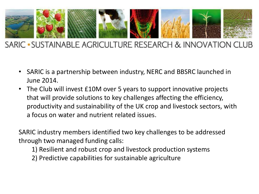

#### SARIC • SUSTAINABLE AGRICULTURE RESEARCH & INNOVATION CLUB

- SARIC is a partnership between industry, NERC and BBSRC launched in June 2014.
- The Club will invest £10M over 5 years to support innovative projects that will provide solutions to key challenges affecting the efficiency, productivity and sustainability of the UK crop and livestock sectors, with a focus on water and nutrient related issues.

SARIC industry members identified two key challenges to be addressed through two managed funding calls:

- 1) Resilient and robust crop and livestock production systems
- 2) Predictive capabilities for sustainable agriculture